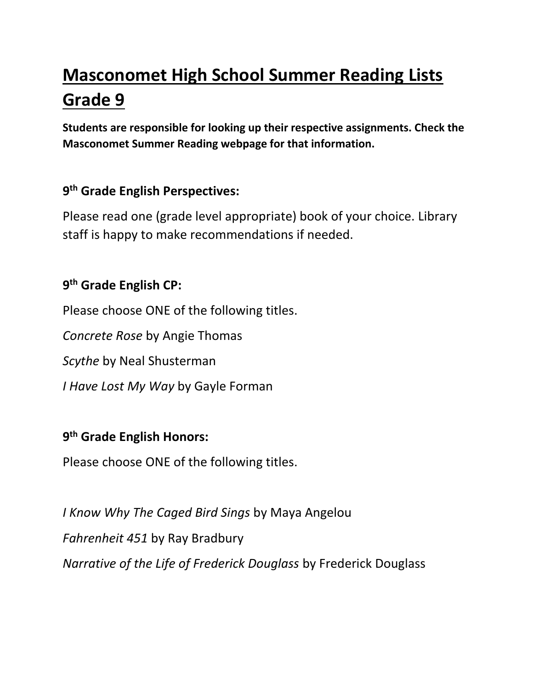# **Masconomet High School Summer Reading Lists Grade 9**

**Students are responsible for looking up their respective assignments. Check the Masconomet Summer Reading webpage for that information.**

### **9 th Grade English Perspectives:**

Please read one (grade level appropriate) book of your choice. Library staff is happy to make recommendations if needed.

#### **9 th Grade English CP:**

Please choose ONE of the following titles.

*Concrete Rose* by Angie Thomas

*Scythe* by Neal Shusterman

*I Have Lost My Way* by Gayle Forman

#### **9 th Grade English Honors:**

Please choose ONE of the following titles.

*I Know Why The Caged Bird Sings* by Maya Angelou *Fahrenheit 451* by Ray Bradbury *Narrative of the Life of Frederick Douglass* by Frederick Douglass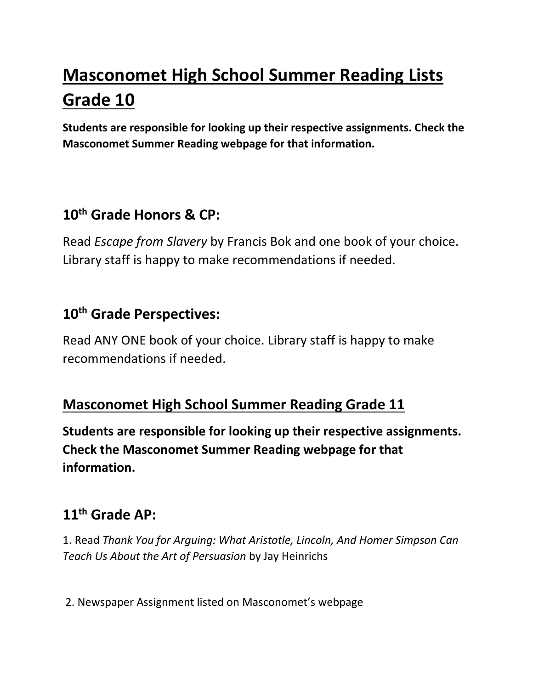# **Masconomet High School Summer Reading Lists Grade 10**

**Students are responsible for looking up their respective assignments. Check the Masconomet Summer Reading webpage for that information.**

## **10th Grade Honors & CP:**

Read *Escape from Slavery* by Francis Bok and one book of your choice. Library staff is happy to make recommendations if needed.

## **10th Grade Perspectives:**

Read ANY ONE book of your choice. Library staff is happy to make recommendations if needed.

## **Masconomet High School Summer Reading Grade 11**

**Students are responsible for looking up their respective assignments. Check the Masconomet Summer Reading webpage for that information.**

## **11th Grade AP:**

1. Read *Thank You for Arguing: What Aristotle, Lincoln, And Homer Simpson Can Teach Us About the Art of Persuasion* by Jay Heinrichs

2. Newspaper Assignment listed on Masconomet's webpage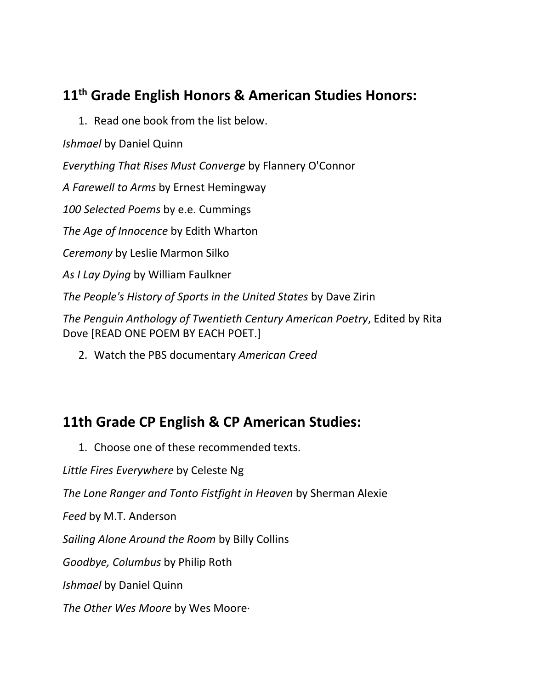## **11th Grade English Honors & American Studies Honors:**

1. Read one book from the list below.

*Ishmael* by Daniel Quinn

*Everything That Rises Must Converge* by Flannery O'Connor

*A Farewell to Arms* by Ernest Hemingway

*100 Selected Poems* by e.e. Cummings

*The Age of Innocence* by Edith Wharton

*Ceremony* by Leslie Marmon Silko

*As I Lay Dying* by William Faulkner

*The People's History of Sports in the United States* by Dave Zirin

*The Penguin Anthology of Twentieth Century American Poetry*, Edited by Rita Dove [READ ONE POEM BY EACH POET.]

2. Watch the PBS documentary *American Creed*

## **11th Grade CP English & CP American Studies:**

1. Choose one of these recommended texts.

*Little Fires Everywhere* by Celeste Ng

*The Lone Ranger and Tonto Fistfight in Heaven* by Sherman Alexie

*Feed* by M.T. Anderson

*Sailing Alone Around the Room* by Billy Collins

*Goodbye, Columbus* by Philip Roth

*Ishmael* by Daniel Quinn

*The Other Wes Moore* by Wes Moore·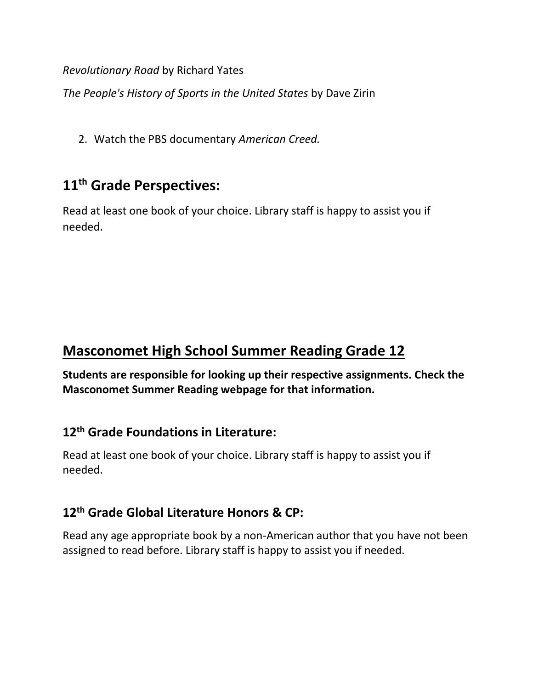*Revolutionary Road* by Richard Yates

*The People's History of Sports in the United States* by Dave Zirin

2. Watch the PBS documentary *American Creed.*

## **11th Grade Perspectives:**

Read at least one book of your choice. Library staff is happy to assist you if needed.

## **Masconomet High School Summer Reading Grade 12**

**Students are responsible for looking up their respective assignments. Check the Masconomet Summer Reading webpage for that information.**

#### **12th Grade Foundations in Literature:**

Read at least one book of your choice. Library staff is happy to assist you if needed.

#### **12th Grade Global Literature Honors & CP:**

Read any age appropriate book by a non-American author that you have not been assigned to read before. Library staff is happy to assist you if needed.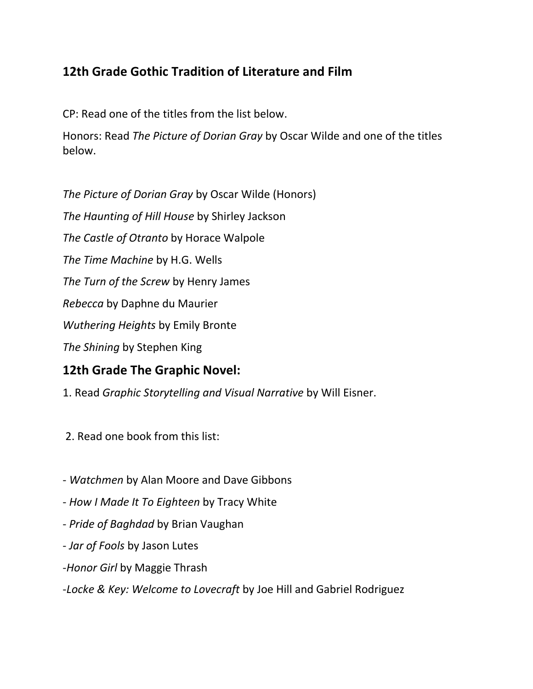#### **12th Grade Gothic Tradition of Literature and Film**

CP: Read one of the titles from the list below.

Honors: Read *The Picture of Dorian Gray* by Oscar Wilde and one of the titles below.

*The Picture of Dorian Gray* by Oscar Wilde (Honors) *The Haunting of Hill House* by Shirley Jackson *The Castle of Otranto* by Horace Walpole *The Time Machine* by H.G. Wells *The Turn of the Screw* by Henry James *Rebecca* by Daphne du Maurier *Wuthering Heights* by Emily Bronte *The Shining* by Stephen King **12th Grade The Graphic Novel:**

1. Read *Graphic Storytelling and Visual Narrative* by Will Eisner.

2. Read one book from this list:

- *Watchmen* by Alan Moore and Dave Gibbons
- *How I Made It To Eighteen* by Tracy White
- *Pride of Baghdad* by Brian Vaughan
- *Jar of Fools* by Jason Lutes
- -*Honor Girl* by Maggie Thrash
- -*Locke & Key: Welcome to Lovecraft* by Joe Hill and Gabriel Rodriguez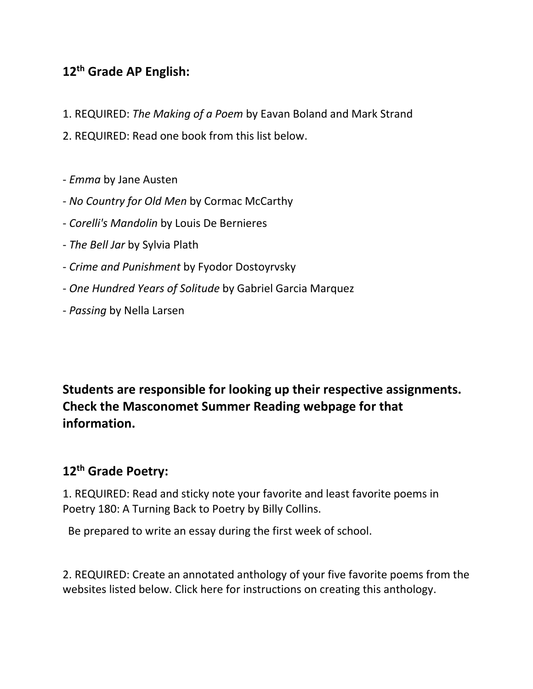#### **12th Grade AP English:**

- 1. REQUIRED: *The Making of a Poem* by Eavan Boland and Mark Strand
- 2. REQUIRED: Read one book from this list below.
- *Emma* by Jane Austen
- *No Country for Old Men* by Cormac McCarthy
- *Corelli's Mandolin* by Louis De Bernieres
- *The Bell Jar* by Sylvia Plath
- *Crime and Punishment* by Fyodor Dostoyrvsky
- *One Hundred Years of Solitude* by Gabriel Garcia Marquez
- *Passing* by Nella Larsen

**Students are responsible for looking up their respective assignments. Check the Masconomet Summer Reading webpage for that information.**

#### **12th Grade Poetry:**

1. REQUIRED: Read and sticky note your favorite and least favorite poems in Poetry 180: A Turning Back to Poetry by Billy Collins.

Be prepared to write an essay during the first week of school.

2. REQUIRED: Create an annotated anthology of your five favorite poems from the websites listed below. Click here for instructions on creating this anthology.